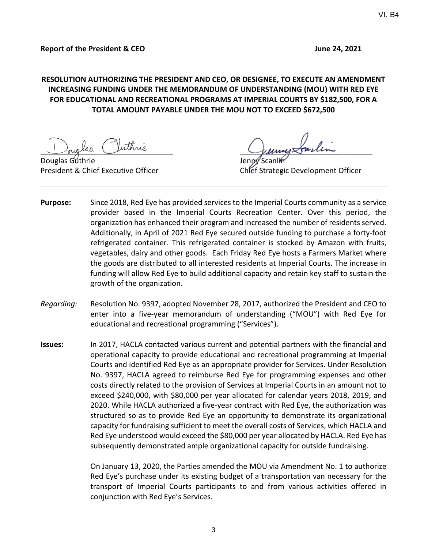# **RESOLUTION AUTHORIZING THE PRESIDENT AND CEO, OR DESIGNEE, TO EXECUTE AN AMENDMENT INCREASING FUNDING UNDER THE MEMORANDUM OF UNDERSTANDING (MOU) WITH RED EYE FOR EDUCATIONAL AND RECREATIONAL PROGRAMS AT IMPERIAL COURTS BY \$182,500, FOR A TOTAL AMOUNT PAYABLE UNDER THE MOU NOT TO EXCEED \$672,500**

Douglas Guthrie

buglas imme

President & Chief Executive Officer Chief Strategic Development Officer

- **Purpose:** Since 2018, Red Eye has provided services to the Imperial Courts community as a service provider based in the Imperial Courts Recreation Center. Over this period, the organization has enhanced their program and increased the number of residents served. Additionally, in April of 2021 Red Eye secured outside funding to purchase a forty-foot refrigerated container. This refrigerated container is stocked by Amazon with fruits, vegetables, dairy and other goods. Each Friday Red Eye hosts a Farmers Market where the goods are distributed to all interested residents at Imperial Courts. The increase in funding will allow Red Eye to build additional capacity and retain key staff to sustain the growth of the organization.
- *Regarding:* Resolution No. 9397, adopted November 28, 2017, authorized the President and CEO to enter into a five-year memorandum of understanding ("MOU") with Red Eye for educational and recreational programming ("Services").
- **Issues:** In 2017, HACLA contacted various current and potential partners with the financial and operational capacity to provide educational and recreational programming at Imperial Courts and identified Red Eye as an appropriate provider for Services. Under Resolution No. 9397, HACLA agreed to reimburse Red Eye for programming expenses and other costs directly related to the provision of Services at Imperial Courts in an amount not to exceed \$240,000, with \$80,000 per year allocated for calendar years 2018, 2019, and 2020. While HACLA authorized a five-year contract with Red Eye, the authorization was structured so as to provide Red Eye an opportunity to demonstrate its organizational capacity for fundraising sufficient to meet the overall costs of Services, which HACLA and Red Eye understood would exceed the \$80,000 per year allocated by HACLA. Red Eye has subsequently demonstrated ample organizational capacity for outside fundraising.

On January 13, 2020, the Parties amended the MOU via Amendment No. 1 to authorize Red Eye's purchase under its existing budget of a transportation van necessary for the transport of Imperial Courts participants to and from various activities offered in conjunction with Red Eye's Services.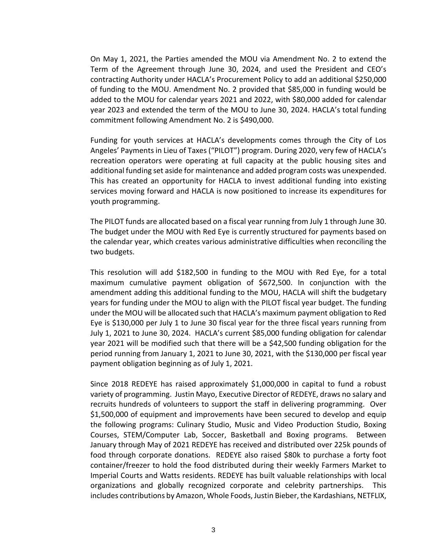On May 1, 2021, the Parties amended the MOU via Amendment No. 2 to extend the Term of the Agreement through June 30, 2024, and used the President and CEO's contracting Authority under HACLA's Procurement Policy to add an additional \$250,000 of funding to the MOU. Amendment No. 2 provided that \$85,000 in funding would be added to the MOU for calendar years 2021 and 2022, with \$80,000 added for calendar year 2023 and extended the term of the MOU to June 30, 2024. HACLA's total funding commitment following Amendment No. 2 is \$490,000.

Funding for youth services at HACLA's developments comes through the City of Los Angeles' Payments in Lieu of Taxes ("PILOT") program. During 2020, very few of HACLA's recreation operators were operating at full capacity at the public housing sites and additional funding set aside for maintenance and added program costs was unexpended. This has created an opportunity for HACLA to invest additional funding into existing services moving forward and HACLA is now positioned to increase its expenditures for youth programming.

The PILOT funds are allocated based on a fiscal year running from July 1 through June 30. The budget under the MOU with Red Eye is currently structured for payments based on the calendar year, which creates various administrative difficulties when reconciling the two budgets.

This resolution will add \$182,500 in funding to the MOU with Red Eye, for a total maximum cumulative payment obligation of \$672,500. In conjunction with the amendment adding this additional funding to the MOU, HACLA will shift the budgetary years for funding under the MOU to align with the PILOT fiscal year budget. The funding under the MOU will be allocated such that HACLA's maximum payment obligation to Red Eye is \$130,000 per July 1 to June 30 fiscal year for the three fiscal years running from July 1, 2021 to June 30, 2024. HACLA's current \$85,000 funding obligation for calendar year 2021 will be modified such that there will be a \$42,500 funding obligation for the period running from January 1, 2021 to June 30, 2021, with the \$130,000 per fiscal year payment obligation beginning as of July 1, 2021.

Since 2018 REDEYE has raised approximately \$1,000,000 in capital to fund a robust variety of programming. Justin Mayo, Executive Director of REDEYE, draws no salary and recruits hundreds of volunteers to support the staff in delivering programming. Over \$1,500,000 of equipment and improvements have been secured to develop and equip the following programs: Culinary Studio, Music and Video Production Studio, Boxing Courses, STEM/Computer Lab, Soccer, Basketball and Boxing programs. Between January through May of 2021 REDEYE has received and distributed over 225k pounds of food through corporate donations. REDEYE also raised \$80k to purchase a forty foot container/freezer to hold the food distributed during their weekly Farmers Market to Imperial Courts and Watts residents. REDEYE has built valuable relationships with local organizations and globally recognized corporate and celebrity partnerships. This includes contributions by Amazon, Whole Foods, Justin Bieber, the Kardashians, NETFLIX,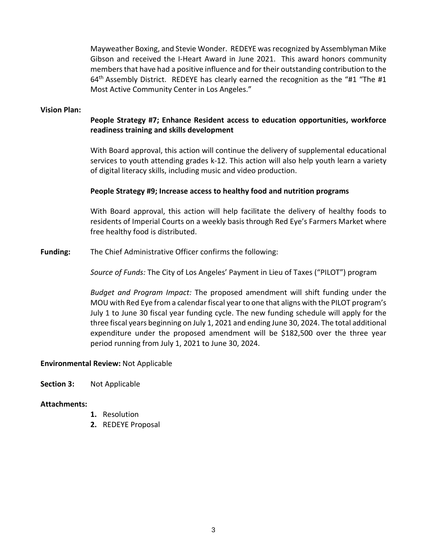Mayweather Boxing, and Stevie Wonder. REDEYE was recognized by Assemblyman Mike Gibson and received the I-Heart Award in June 2021. This award honors community members that have had a positive influence and for their outstanding contribution to the  $64<sup>th</sup>$  Assembly District. REDEYE has clearly earned the recognition as the "#1 "The #1 Most Active Community Center in Los Angeles."

### **Vision Plan:**

## **People Strategy #7; Enhance Resident access to education opportunities, workforce readiness training and skills development**

With Board approval, this action will continue the delivery of supplemental educational services to youth attending grades k-12. This action will also help youth learn a variety of digital literacy skills, including music and video production.

## **People Strategy #9; Increase access to healthy food and nutrition programs**

With Board approval, this action will help facilitate the delivery of healthy foods to residents of Imperial Courts on a weekly basis through Red Eye's Farmers Market where free healthy food is distributed.

**Funding:** The Chief Administrative Officer confirms the following:

*Source of Funds:* The City of Los Angeles' Payment in Lieu of Taxes ("PILOT") program

*Budget and Program Impact:* The proposed amendment will shift funding under the MOU with Red Eye from a calendar fiscal year to one that aligns with the PILOT program's July 1 to June 30 fiscal year funding cycle. The new funding schedule will apply for the three fiscal years beginning on July 1, 2021 and ending June 30, 2024. The total additional expenditure under the proposed amendment will be \$182,500 over the three year period running from July 1, 2021 to June 30, 2024.

### **Environmental Review:** Not Applicable

**Section 3:** Not Applicable

### **Attachments:**

- **1.** Resolution
- **2.** REDEYE Proposal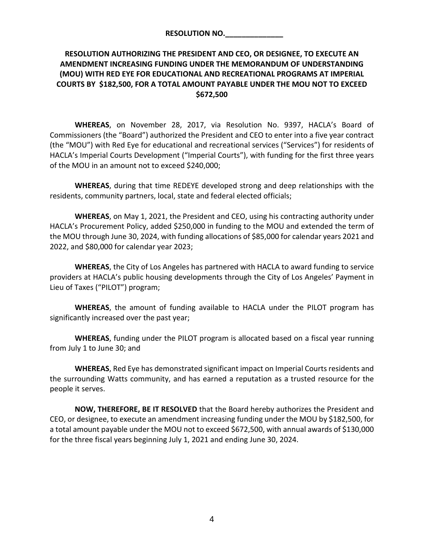| <b>RESOLUTION NO.</b> |  |  |
|-----------------------|--|--|
|                       |  |  |

# **RESOLUTION AUTHORIZING THE PRESIDENT AND CEO, OR DESIGNEE, TO EXECUTE AN AMENDMENT INCREASING FUNDING UNDER THE MEMORANDUM OF UNDERSTANDING (MOU) WITH RED EYE FOR EDUCATIONAL AND RECREATIONAL PROGRAMS AT IMPERIAL COURTS BY \$182,500, FOR A TOTAL AMOUNT PAYABLE UNDER THE MOU NOT TO EXCEED \$672,500**

**WHEREAS**, on November 28, 2017, via Resolution No. 9397, HACLA's Board of Commissioners (the "Board") authorized the President and CEO to enter into a five year contract (the "MOU") with Red Eye for educational and recreational services ("Services") for residents of HACLA's Imperial Courts Development ("Imperial Courts"), with funding for the first three years of the MOU in an amount not to exceed \$240,000;

**WHEREAS**, during that time REDEYE developed strong and deep relationships with the residents, community partners, local, state and federal elected officials;

**WHEREAS**, on May 1, 2021, the President and CEO, using his contracting authority under HACLA's Procurement Policy, added \$250,000 in funding to the MOU and extended the term of the MOU through June 30, 2024, with funding allocations of \$85,000 for calendar years 2021 and 2022, and \$80,000 for calendar year 2023;

**WHEREAS**, the City of Los Angeles has partnered with HACLA to award funding to service providers at HACLA's public housing developments through the City of Los Angeles' Payment in Lieu of Taxes ("PILOT") program;

**WHEREAS**, the amount of funding available to HACLA under the PILOT program has significantly increased over the past year;

**WHEREAS**, funding under the PILOT program is allocated based on a fiscal year running from July 1 to June 30; and

**WHEREAS**, Red Eye has demonstrated significant impact on Imperial Courts residents and the surrounding Watts community, and has earned a reputation as a trusted resource for the people it serves.

**NOW, THEREFORE, BE IT RESOLVED** that the Board hereby authorizes the President and CEO, or designee, to execute an amendment increasing funding under the MOU by \$182,500, for a total amount payable under the MOU not to exceed \$672,500, with annual awards of \$130,000 for the three fiscal years beginning July 1, 2021 and ending June 30, 2024.